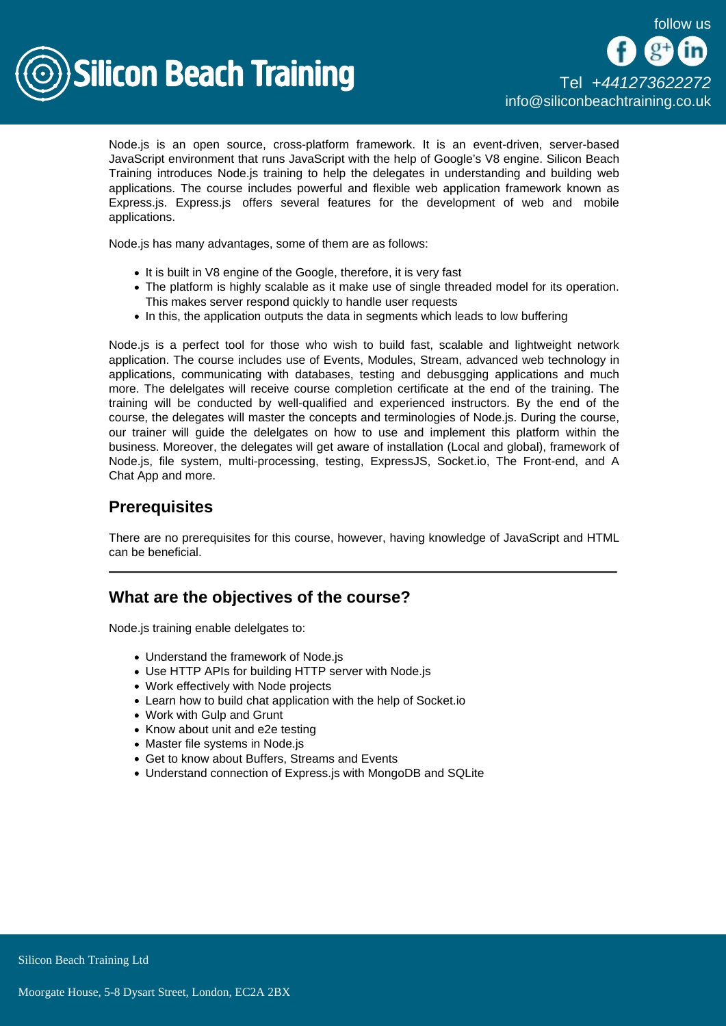

Node.js is an open source, cross-platform framework. It is an event-driven, server-based JavaScript environment that runs JavaScript with the help of Google's V8 engine. Silicon Beach Training introduces Node.js training to help the delegates in understanding and building web applications. The course includes powerful and flexible web application framework known as Express.js. Express.js offers several features for the development of web and mobile applications.

Node.js has many advantages, some of them are as follows:

- It is built in V8 engine of the Google, therefore, it is very fast
- The platform is highly scalable as it make use of single threaded model for its operation. This makes server respond quickly to handle user requests
- In this, the application outputs the data in segments which leads to low buffering

Node.js is a perfect tool for those who wish to build fast, scalable and lightweight network application. The course includes use of Events, Modules, Stream, advanced web technology in applications, communicating with databases, testing and debusgging applications and much more. The delelgates will receive course completion certificate at the end of the training. The training will be conducted by well-qualified and experienced instructors. By the end of the course, the delegates will master the concepts and terminologies of Node.js. During the course, our trainer will guide the delelgates on how to use and implement this platform within the business. Moreover, the delegates will get aware of installation (Local and global), framework of Node.js, file system, multi-processing, testing, ExpressJS, Socket.io, The Front-end, and A Chat App and more.

# **Prerequisites**

There are no prerequisites for this course, however, having knowledge of JavaScript and HTML can be beneficial.

# What are the objectives of the course?

Node.js training enable delelgates to:

- Understand the framework of Node.js
- Use HTTP APIs for building HTTP server with Node.js
- Work effectively with Node projects
- Learn how to build chat application with the help of Socket.io
- Work with Gulp and Grunt
- Know about unit and e2e testing
- Master file systems in Node.js
- Get to know about Buffers, Streams and Events
- Understand connection of Express.js with MongoDB and SQLite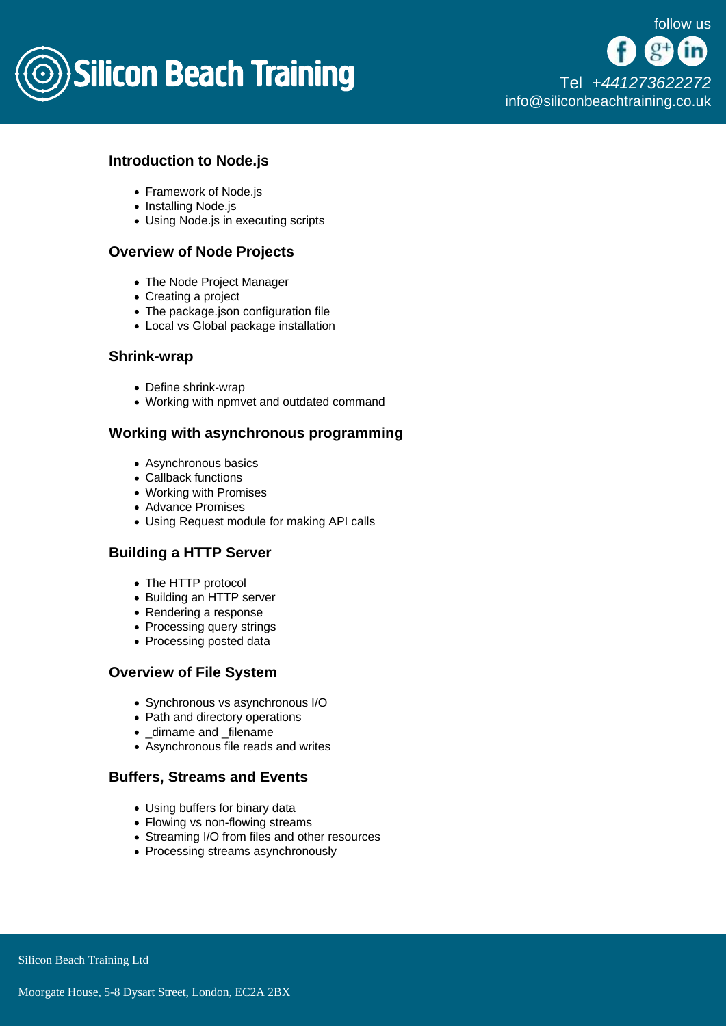

## Introduction to Node.js

- Framework of Node.is
- Installing Node.js
- Using Node.js in executing scripts

#### Overview of Node Projects

- The Node Project Manager
- Creating a project
- The package.json configuration file
- Local vs Global package installation

#### Shrink-wrap

- Define shrink-wrap
- Working with npmvet and outdated command

## Working with asynchronous programming

- Asynchronous basics
- Callback functions
- Working with Promises
- Advance Promises
- Using Request module for making API calls

## Building a HTTP Server

- The HTTP protocol
- Building an HTTP server
- Rendering a response
- Processing query strings
- Processing posted data

## Overview of File System

- Synchronous vs asynchronous I/O
- Path and directory operations
- \_dirname and \_filename
- Asynchronous file reads and writes

## Buffers, Streams and Events

- Using buffers for binary data
- Flowing vs non-flowing streams
- Streaming I/O from files and other resources
- Processing streams asynchronously

Silicon Beach Training Ltd